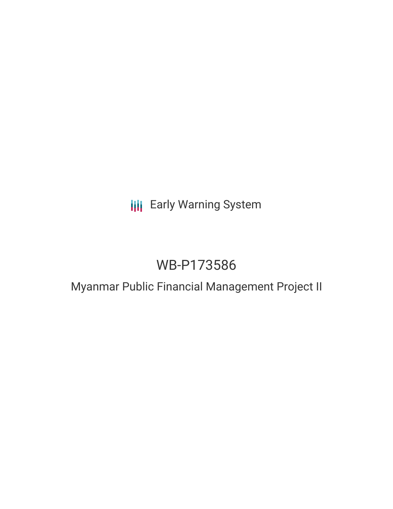# **III** Early Warning System

# WB-P173586

# Myanmar Public Financial Management Project II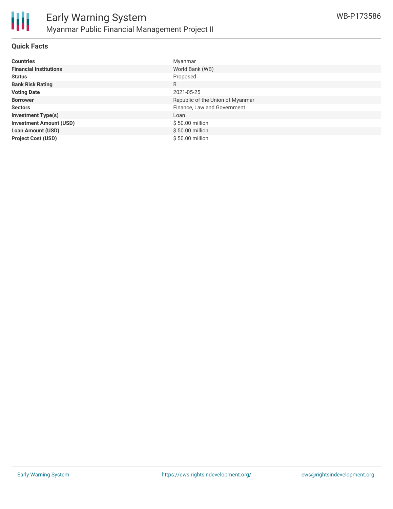

### **Quick Facts**

| <b>Countries</b>               | Myanmar                          |
|--------------------------------|----------------------------------|
| <b>Financial Institutions</b>  | World Bank (WB)                  |
| <b>Status</b>                  | Proposed                         |
| <b>Bank Risk Rating</b>        | B                                |
| <b>Voting Date</b>             | 2021-05-25                       |
| <b>Borrower</b>                | Republic of the Union of Myanmar |
| <b>Sectors</b>                 | Finance, Law and Government      |
| <b>Investment Type(s)</b>      | Loan                             |
| <b>Investment Amount (USD)</b> | \$50.00 million                  |
| <b>Loan Amount (USD)</b>       | \$50.00 million                  |
| <b>Project Cost (USD)</b>      | \$50.00 million                  |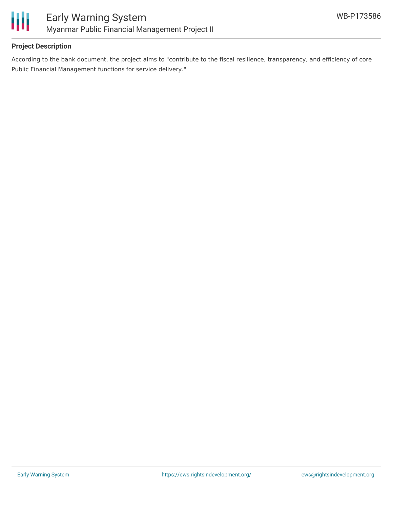

# **Project Description**

According to the bank document, the project aims to "contribute to the fiscal resilience, transparency, and efficiency of core Public Financial Management functions for service delivery."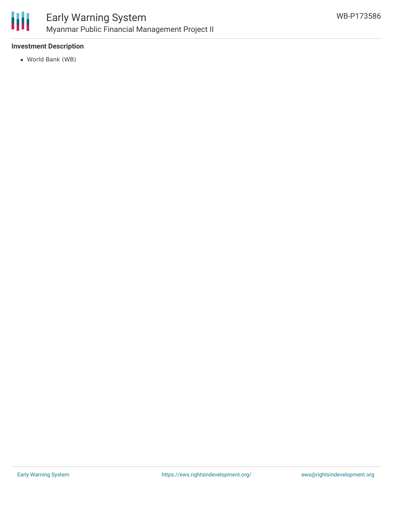

# **Investment Description**

World Bank (WB)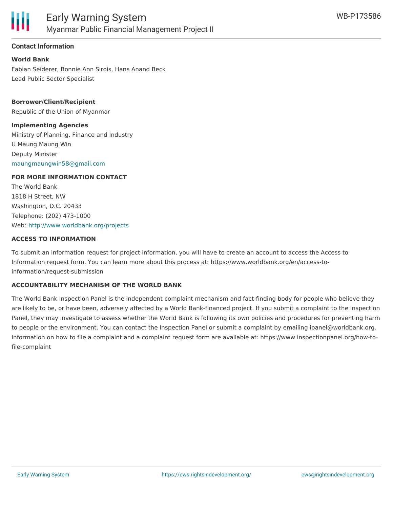

# **Contact Information**

**World Bank** Fabian Seiderer, Bonnie Ann Sirois, Hans Anand Beck Lead Public Sector Specialist

**Borrower/Client/Recipient** Republic of the Union of Myanmar

# **Implementing Agencies**

Ministry of Planning, Finance and Industry U Maung Maung Win Deputy Minister [maungmaungwin58@gmail.com](mailto:maungmaungwin58@gmail.com)

# **FOR MORE INFORMATION CONTACT**

The World Bank 1818 H Street, NW Washington, D.C. 20433 Telephone: (202) 473-1000 Web: <http://www.worldbank.org/projects>

#### **ACCESS TO INFORMATION**

To submit an information request for project information, you will have to create an account to access the Access to Information request form. You can learn more about this process at: https://www.worldbank.org/en/access-toinformation/request-submission

#### **ACCOUNTABILITY MECHANISM OF THE WORLD BANK**

The World Bank Inspection Panel is the independent complaint mechanism and fact-finding body for people who believe they are likely to be, or have been, adversely affected by a World Bank-financed project. If you submit a complaint to the Inspection Panel, they may investigate to assess whether the World Bank is following its own policies and procedures for preventing harm to people or the environment. You can contact the Inspection Panel or submit a complaint by emailing ipanel@worldbank.org. Information on how to file a complaint and a complaint request form are available at: https://www.inspectionpanel.org/how-tofile-complaint